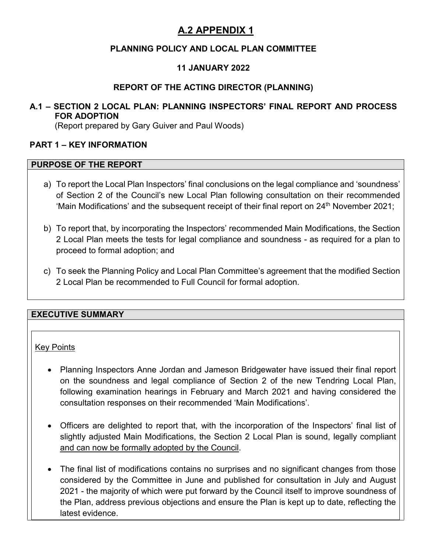## **PLANNING POLICY AND LOCAL PLAN COMMITTEE**

## **11 JANUARY 2022**

### **REPORT OF THE ACTING DIRECTOR (PLANNING)**

### **A.1 – SECTION 2 LOCAL PLAN: PLANNING INSPECTORS' FINAL REPORT AND PROCESS FOR ADOPTION**

(Report prepared by Gary Guiver and Paul Woods)

#### **PART 1 – KEY INFORMATION**

#### **PURPOSE OF THE REPORT**

- a) To report the Local Plan Inspectors' final conclusions on the legal compliance and 'soundness' of Section 2 of the Council's new Local Plan following consultation on their recommended 'Main Modifications' and the subsequent receipt of their final report on 24<sup>th</sup> November 2021;
- b) To report that, by incorporating the Inspectors' recommended Main Modifications, the Section 2 Local Plan meets the tests for legal compliance and soundness - as required for a plan to proceed to formal adoption; and
- c) To seek the Planning Policy and Local Plan Committee's agreement that the modified Section 2 Local Plan be recommended to Full Council for formal adoption.

### **EXECUTIVE SUMMARY**

#### Key Points

- Planning Inspectors Anne Jordan and Jameson Bridgewater have issued their final report on the soundness and legal compliance of Section 2 of the new Tendring Local Plan, following examination hearings in February and March 2021 and having considered the consultation responses on their recommended 'Main Modifications'.
- Officers are delighted to report that, with the incorporation of the Inspectors' final list of slightly adjusted Main Modifications, the Section 2 Local Plan is sound, legally compliant and can now be formally adopted by the Council.
- The final list of modifications contains no surprises and no significant changes from those considered by the Committee in June and published for consultation in July and August 2021 - the majority of which were put forward by the Council itself to improve soundness of the Plan, address previous objections and ensure the Plan is kept up to date, reflecting the latest evidence.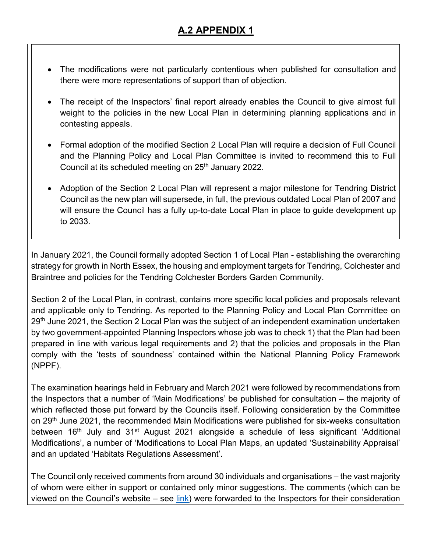- The modifications were not particularly contentious when published for consultation and there were more representations of support than of objection.
- The receipt of the Inspectors' final report already enables the Council to give almost full weight to the policies in the new Local Plan in determining planning applications and in contesting appeals.
- Formal adoption of the modified Section 2 Local Plan will require a decision of Full Council and the Planning Policy and Local Plan Committee is invited to recommend this to Full Council at its scheduled meeting on 25<sup>th</sup> January 2022.
- Adoption of the Section 2 Local Plan will represent a major milestone for Tendring District Council as the new plan will supersede, in full, the previous outdated Local Plan of 2007 and will ensure the Council has a fully up-to-date Local Plan in place to guide development up to 2033.

In January 2021, the Council formally adopted Section 1 of Local Plan - establishing the overarching strategy for growth in North Essex, the housing and employment targets for Tendring, Colchester and Braintree and policies for the Tendring Colchester Borders Garden Community.

Section 2 of the Local Plan, in contrast, contains more specific local policies and proposals relevant and applicable only to Tendring. As reported to the Planning Policy and Local Plan Committee on 29<sup>th</sup> June 2021, the Section 2 Local Plan was the subject of an independent examination undertaken by two government-appointed Planning Inspectors whose job was to check 1) that the Plan had been prepared in line with various legal requirements and 2) that the policies and proposals in the Plan comply with the 'tests of soundness' contained within the National Planning Policy Framework (NPPF).

The examination hearings held in February and March 2021 were followed by recommendations from the Inspectors that a number of 'Main Modifications' be published for consultation – the majority of which reflected those put forward by the Councils itself. Following consideration by the Committee on 29<sup>th</sup> June 2021, the recommended Main Modifications were published for six-weeks consultation between 16<sup>th</sup> July and 31<sup>st</sup> August 2021 alongside a schedule of less significant 'Additional Modifications', a number of 'Modifications to Local Plan Maps, an updated 'Sustainability Appraisal' and an updated 'Habitats Regulations Assessment'.

The Council only received comments from around 30 individuals and organisations – the vast majority of whom were either in support or contained only minor suggestions. The comments (which can be viewed on the Council's website – see [link\)](https://www.tendringdc.gov.uk/planning/local-plans-and-policies/view-our-local-plan/section-2-examination/section-2-0) were forwarded to the Inspectors for their consideration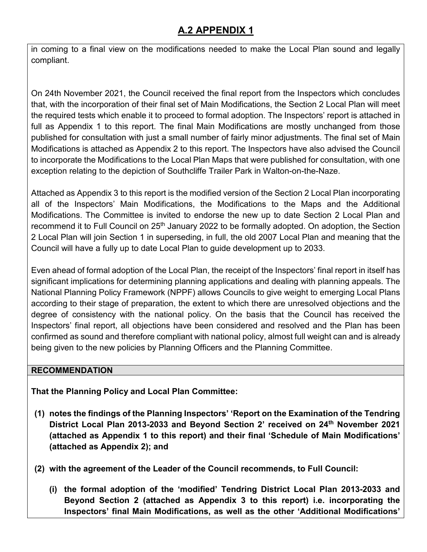in coming to a final view on the modifications needed to make the Local Plan sound and legally compliant.

On 24th November 2021, the Council received the final report from the Inspectors which concludes that, with the incorporation of their final set of Main Modifications, the Section 2 Local Plan will meet the required tests which enable it to proceed to formal adoption. The Inspectors' report is attached in full as Appendix 1 to this report. The final Main Modifications are mostly unchanged from those published for consultation with just a small number of fairly minor adjustments. The final set of Main Modifications is attached as Appendix 2 to this report. The Inspectors have also advised the Council to incorporate the Modifications to the Local Plan Maps that were published for consultation, with one exception relating to the depiction of Southcliffe Trailer Park in Walton-on-the-Naze.

Attached as Appendix 3 to this report is the modified version of the Section 2 Local Plan incorporating all of the Inspectors' Main Modifications, the Modifications to the Maps and the Additional Modifications. The Committee is invited to endorse the new up to date Section 2 Local Plan and recommend it to Full Council on 25<sup>th</sup> January 2022 to be formally adopted. On adoption, the Section 2 Local Plan will join Section 1 in superseding, in full, the old 2007 Local Plan and meaning that the Council will have a fully up to date Local Plan to guide development up to 2033.

Even ahead of formal adoption of the Local Plan, the receipt of the Inspectors' final report in itself has significant implications for determining planning applications and dealing with planning appeals. The National Planning Policy Framework (NPPF) allows Councils to give weight to emerging Local Plans according to their stage of preparation, the extent to which there are unresolved objections and the degree of consistency with the national policy. On the basis that the Council has received the Inspectors' final report, all objections have been considered and resolved and the Plan has been confirmed as sound and therefore compliant with national policy, almost full weight can and is already being given to the new policies by Planning Officers and the Planning Committee.

### **RECOMMENDATION**

**That the Planning Policy and Local Plan Committee:** 

- **(1) notes the findings of the Planning Inspectors' 'Report on the Examination of the Tendring District Local Plan 2013-2033 and Beyond Section 2' received on 24th November 2021 (attached as Appendix 1 to this report) and their final 'Schedule of Main Modifications' (attached as Appendix 2); and**
- **(2) with the agreement of the Leader of the Council recommends, to Full Council:** 
	- **(i) the formal adoption of the 'modified' Tendring District Local Plan 2013-2033 and Beyond Section 2 (attached as Appendix 3 to this report) i.e. incorporating the Inspectors' final Main Modifications, as well as the other 'Additional Modifications'**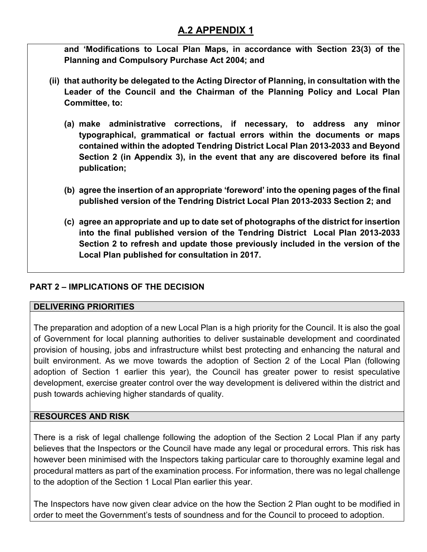**and 'Modifications to Local Plan Maps, in accordance with Section 23(3) of the Planning and Compulsory Purchase Act 2004; and** 

- **(ii) that authority be delegated to the Acting Director of Planning, in consultation with the Leader of the Council and the Chairman of the Planning Policy and Local Plan Committee, to:** 
	- **(a) make administrative corrections, if necessary, to address any minor typographical, grammatical or factual errors within the documents or maps contained within the adopted Tendring District Local Plan 2013-2033 and Beyond Section 2 (in Appendix 3), in the event that any are discovered before its final publication;**
	- **(b) agree the insertion of an appropriate 'foreword' into the opening pages of the final published version of the Tendring District Local Plan 2013-2033 Section 2; and**
	- **(c) agree an appropriate and up to date set of photographs of the district for insertion into the final published version of the Tendring District Local Plan 2013-2033 Section 2 to refresh and update those previously included in the version of the Local Plan published for consultation in 2017.**

## **PART 2 – IMPLICATIONS OF THE DECISION**

### **DELIVERING PRIORITIES**

The preparation and adoption of a new Local Plan is a high priority for the Council. It is also the goal of Government for local planning authorities to deliver sustainable development and coordinated provision of housing, jobs and infrastructure whilst best protecting and enhancing the natural and built environment. As we move towards the adoption of Section 2 of the Local Plan (following adoption of Section 1 earlier this year), the Council has greater power to resist speculative development, exercise greater control over the way development is delivered within the district and push towards achieving higher standards of quality.

## **RESOURCES AND RISK**

There is a risk of legal challenge following the adoption of the Section 2 Local Plan if any party believes that the Inspectors or the Council have made any legal or procedural errors. This risk has however been minimised with the Inspectors taking particular care to thoroughly examine legal and procedural matters as part of the examination process. For information, there was no legal challenge to the adoption of the Section 1 Local Plan earlier this year.

The Inspectors have now given clear advice on the how the Section 2 Plan ought to be modified in order to meet the Government's tests of soundness and for the Council to proceed to adoption.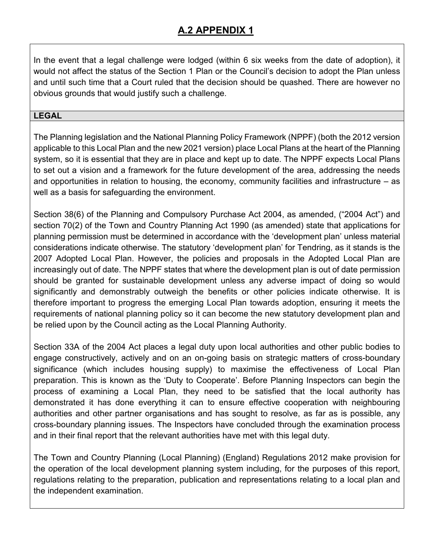In the event that a legal challenge were lodged (within 6 six weeks from the date of adoption), it would not affect the status of the Section 1 Plan or the Council's decision to adopt the Plan unless and until such time that a Court ruled that the decision should be quashed. There are however no obvious grounds that would justify such a challenge.

## **LEGAL**

The Planning legislation and the National Planning Policy Framework (NPPF) (both the 2012 version applicable to this Local Plan and the new 2021 version) place Local Plans at the heart of the Planning system, so it is essential that they are in place and kept up to date. The NPPF expects Local Plans to set out a vision and a framework for the future development of the area, addressing the needs and opportunities in relation to housing, the economy, community facilities and infrastructure – as well as a basis for safeguarding the environment.

Section 38(6) of the Planning and Compulsory Purchase Act 2004, as amended, ("2004 Act") and section 70(2) of the Town and Country Planning Act 1990 (as amended) state that applications for planning permission must be determined in accordance with the 'development plan' unless material considerations indicate otherwise. The statutory 'development plan' for Tendring, as it stands is the 2007 Adopted Local Plan. However, the policies and proposals in the Adopted Local Plan are increasingly out of date. The NPPF states that where the development plan is out of date permission should be granted for sustainable development unless any adverse impact of doing so would significantly and demonstrably outweigh the benefits or other policies indicate otherwise. It is therefore important to progress the emerging Local Plan towards adoption, ensuring it meets the requirements of national planning policy so it can become the new statutory development plan and be relied upon by the Council acting as the Local Planning Authority.

Section 33A of the 2004 Act places a legal duty upon local authorities and other public bodies to engage constructively, actively and on an on-going basis on strategic matters of cross-boundary significance (which includes housing supply) to maximise the effectiveness of Local Plan preparation. This is known as the 'Duty to Cooperate'. Before Planning Inspectors can begin the process of examining a Local Plan, they need to be satisfied that the local authority has demonstrated it has done everything it can to ensure effective cooperation with neighbouring authorities and other partner organisations and has sought to resolve, as far as is possible, any cross-boundary planning issues. The Inspectors have concluded through the examination process and in their final report that the relevant authorities have met with this legal duty.

The Town and Country Planning (Local Planning) (England) Regulations 2012 make provision for the operation of the local development planning system including, for the purposes of this report, regulations relating to the preparation, publication and representations relating to a local plan and the independent examination.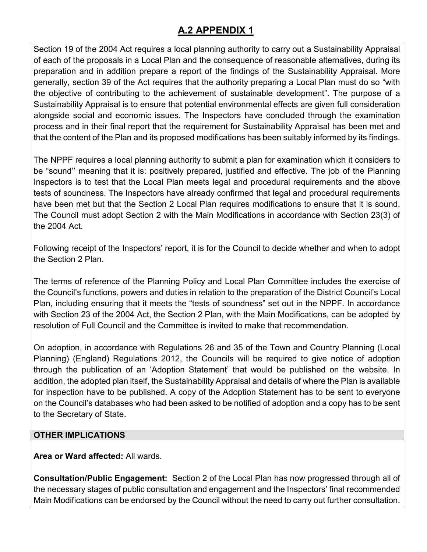Section 19 of the 2004 Act requires a local planning authority to carry out a Sustainability Appraisal of each of the proposals in a Local Plan and the consequence of reasonable alternatives, during its preparation and in addition prepare a report of the findings of the Sustainability Appraisal. More generally, section 39 of the Act requires that the authority preparing a Local Plan must do so "with the objective of contributing to the achievement of sustainable development". The purpose of a Sustainability Appraisal is to ensure that potential environmental effects are given full consideration alongside social and economic issues. The Inspectors have concluded through the examination process and in their final report that the requirement for Sustainability Appraisal has been met and that the content of the Plan and its proposed modifications has been suitably informed by its findings.

The NPPF requires a local planning authority to submit a plan for examination which it considers to be "sound'' meaning that it is: positively prepared, justified and effective. The job of the Planning Inspectors is to test that the Local Plan meets legal and procedural requirements and the above tests of soundness. The Inspectors have already confirmed that legal and procedural requirements have been met but that the Section 2 Local Plan requires modifications to ensure that it is sound. The Council must adopt Section 2 with the Main Modifications in accordance with Section 23(3) of the 2004 Act.

Following receipt of the Inspectors' report, it is for the Council to decide whether and when to adopt the Section 2 Plan.

The terms of reference of the Planning Policy and Local Plan Committee includes the exercise of the Council's functions, powers and duties in relation to the preparation of the District Council's Local Plan, including ensuring that it meets the "tests of soundness" set out in the NPPF. In accordance with Section 23 of the 2004 Act, the Section 2 Plan, with the Main Modifications, can be adopted by resolution of Full Council and the Committee is invited to make that recommendation.

On adoption, in accordance with Regulations 26 and 35 of the Town and Country Planning (Local Planning) (England) Regulations 2012, the Councils will be required to give notice of adoption through the publication of an 'Adoption Statement' that would be published on the website. In addition, the adopted plan itself, the Sustainability Appraisal and details of where the Plan is available for inspection have to be published. A copy of the Adoption Statement has to be sent to everyone on the Council's databases who had been asked to be notified of adoption and a copy has to be sent to the Secretary of State.

## **OTHER IMPLICATIONS**

**Area or Ward affected:** All wards.

**Consultation/Public Engagement:** Section 2 of the Local Plan has now progressed through all of the necessary stages of public consultation and engagement and the Inspectors' final recommended Main Modifications can be endorsed by the Council without the need to carry out further consultation.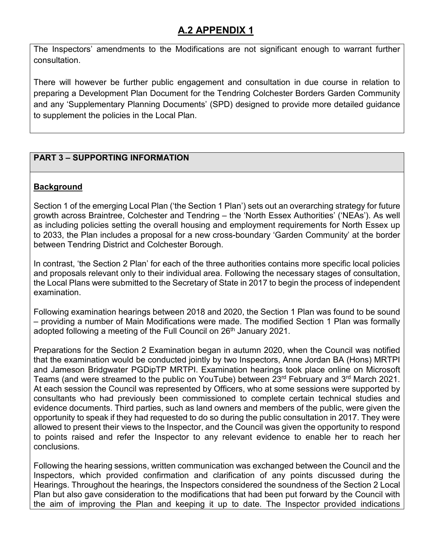The Inspectors' amendments to the Modifications are not significant enough to warrant further consultation.

There will however be further public engagement and consultation in due course in relation to preparing a Development Plan Document for the Tendring Colchester Borders Garden Community and any 'Supplementary Planning Documents' (SPD) designed to provide more detailed guidance to supplement the policies in the Local Plan.

## **PART 3 – SUPPORTING INFORMATION**

## **Background**

Section 1 of the emerging Local Plan ('the Section 1 Plan') sets out an overarching strategy for future growth across Braintree, Colchester and Tendring – the 'North Essex Authorities' ('NEAs'). As well as including policies setting the overall housing and employment requirements for North Essex up to 2033, the Plan includes a proposal for a new cross-boundary 'Garden Community' at the border between Tendring District and Colchester Borough.

In contrast, 'the Section 2 Plan' for each of the three authorities contains more specific local policies and proposals relevant only to their individual area. Following the necessary stages of consultation, the Local Plans were submitted to the Secretary of State in 2017 to begin the process of independent examination.

Following examination hearings between 2018 and 2020, the Section 1 Plan was found to be sound – providing a number of Main Modifications were made. The modified Section 1 Plan was formally adopted following a meeting of the Full Council on 26<sup>th</sup> January 2021.

Preparations for the Section 2 Examination began in autumn 2020, when the Council was notified that the examination would be conducted jointly by two Inspectors, Anne Jordan BA (Hons) MRTPI and Jameson Bridgwater PGDipTP MRTPI. Examination hearings took place online on Microsoft Teams (and were streamed to the public on YouTube) between 23<sup>rd</sup> February and 3<sup>rd</sup> March 2021. At each session the Council was represented by Officers, who at some sessions were supported by consultants who had previously been commissioned to complete certain technical studies and evidence documents. Third parties, such as land owners and members of the public, were given the opportunity to speak if they had requested to do so during the public consultation in 2017. They were allowed to present their views to the Inspector, and the Council was given the opportunity to respond to points raised and refer the Inspector to any relevant evidence to enable her to reach her conclusions.

Following the hearing sessions, written communication was exchanged between the Council and the Inspectors, which provided confirmation and clarification of any points discussed during the Hearings. Throughout the hearings, the Inspectors considered the soundness of the Section 2 Local Plan but also gave consideration to the modifications that had been put forward by the Council with the aim of improving the Plan and keeping it up to date. The Inspector provided indications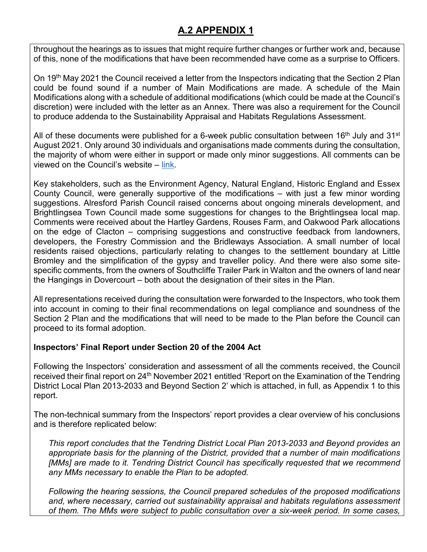throughout the hearings as to issues that might require further changes or further work and, because of this, none of the modifications that have been recommended have come as a surprise to Officers.

On 19<sup>th</sup> May 2021 the Council received a letter from the Inspectors indicating that the Section 2 Plan could be found sound if a number of Main Modifications are made. A schedule of the Main Modifications along with a schedule of additional modifications (which could be made at the Council's discretion) were included with the letter as an Annex. There was also a requirement for the Council to produce addenda to the Sustainability Appraisal and Habitats Regulations Assessment.

All of these documents were published for a 6-week public consultation between 16<sup>th</sup> July and 31<sup>st</sup> August 2021. Only around 30 individuals and organisations made comments during the consultation, the majority of whom were either in support or made only minor suggestions. All comments can be viewed on the Council's website – [link.](https://www.tendringdc.gov.uk/planning/local-plans-and-policies/view-our-local-plan/section-2-examination/section-2-0)

Key stakeholders, such as the Environment Agency, Natural England, Historic England and Essex County Council, were generally supportive of the modifications – with just a few minor wording suggestions. Alresford Parish Council raised concerns about ongoing minerals development, and Brightlingsea Town Council made some suggestions for changes to the Brightlingsea local map. Comments were received about the Hartley Gardens, Rouses Farm, and Oakwood Park allocations on the edge of Clacton – comprising suggestions and constructive feedback from landowners, developers, the Forestry Commission and the Bridleways Association. A small number of local residents raised objections, particularly relating to changes to the settlement boundary at Little Bromley and the simplification of the gypsy and traveller policy. And there were also some sitespecific comments, from the owners of Southcliffe Trailer Park in Walton and the owners of land near the Hangings in Dovercourt – both about the designation of their sites in the Plan.

All representations received during the consultation were forwarded to the Inspectors, who took them into account in coming to their final recommendations on legal compliance and soundness of the Section 2 Plan and the modifications that will need to be made to the Plan before the Council can proceed to its formal adoption.

### **Inspectors' Final Report under Section 20 of the 2004 Act**

Following the Inspectors' consideration and assessment of all the comments received, the Council received their final report on 24<sup>th</sup> November 2021 entitled 'Report on the Examination of the Tendring District Local Plan 2013-2033 and Beyond Section 2' which is attached, in full, as Appendix 1 to this report.

The non-technical summary from the Inspectors' report provides a clear overview of his conclusions and is therefore replicated below:

*This report concludes that the Tendring District Local Plan 2013-2033 and Beyond provides an appropriate basis for the planning of the District, provided that a number of main modifications [MMs] are made to it. Tendring District Council has specifically requested that we recommend any MMs necessary to enable the Plan to be adopted.* 

*Following the hearing sessions, the Council prepared schedules of the proposed modifications and, where necessary, carried out sustainability appraisal and habitats regulations assessment of them. The MMs were subject to public consultation over a six-week period. In some cases,*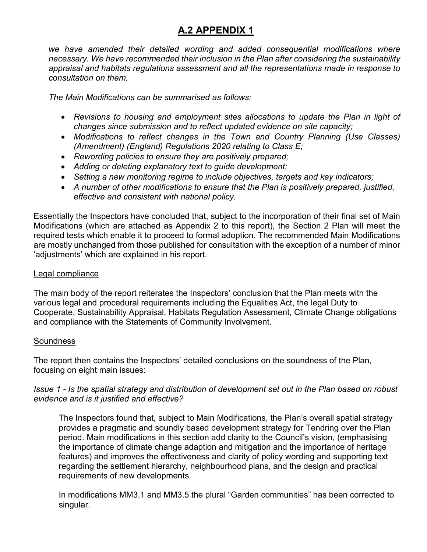*we have amended their detailed wording and added consequential modifications where necessary. We have recommended their inclusion in the Plan after considering the sustainability appraisal and habitats regulations assessment and all the representations made in response to consultation on them.* 

*The Main Modifications can be summarised as follows:* 

- Revisions to housing and employment sites allocations to update the Plan in light of *changes since submission and to reflect updated evidence on site capacity;*
- *Modifications to reflect changes in the Town and Country Planning (Use Classes) (Amendment) (England) Regulations 2020 relating to Class E;*
- *Rewording policies to ensure they are positively prepared;*
- *Adding or deleting explanatory text to guide development;*
- *Setting a new monitoring regime to include objectives, targets and key indicators;*
- *A number of other modifications to ensure that the Plan is positively prepared, justified, effective and consistent with national policy.*

Essentially the Inspectors have concluded that, subject to the incorporation of their final set of Main Modifications (which are attached as Appendix 2 to this report), the Section 2 Plan will meet the required tests which enable it to proceed to formal adoption. The recommended Main Modifications are mostly unchanged from those published for consultation with the exception of a number of minor 'adjustments' which are explained in his report.

### Legal compliance

The main body of the report reiterates the Inspectors' conclusion that the Plan meets with the various legal and procedural requirements including the Equalities Act, the legal Duty to Cooperate, Sustainability Appraisal, Habitats Regulation Assessment, Climate Change obligations and compliance with the Statements of Community Involvement.

### **Soundness**

The report then contains the Inspectors' detailed conclusions on the soundness of the Plan, focusing on eight main issues:

*Issue 1 - Is the spatial strategy and distribution of development set out in the Plan based on robust evidence and is it justified and effective?* 

The Inspectors found that, subject to Main Modifications, the Plan's overall spatial strategy provides a pragmatic and soundly based development strategy for Tendring over the Plan period. Main modifications in this section add clarity to the Council's vision, (emphasising the importance of climate change adaption and mitigation and the importance of heritage features) and improves the effectiveness and clarity of policy wording and supporting text regarding the settlement hierarchy, neighbourhood plans, and the design and practical requirements of new developments.

In modifications MM3.1 and MM3.5 the plural "Garden communities" has been corrected to singular.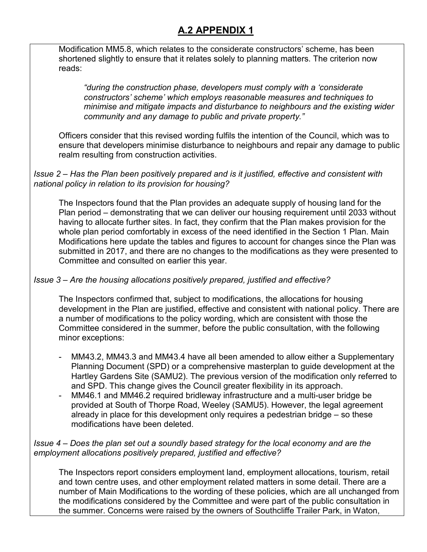Modification MM5.8, which relates to the considerate constructors' scheme, has been shortened slightly to ensure that it relates solely to planning matters. The criterion now reads:

*"during the construction phase, developers must comply with a 'considerate constructors' scheme' which employs reasonable measures and techniques to minimise and mitigate impacts and disturbance to neighbours and the existing wider community and any damage to public and private property."* 

Officers consider that this revised wording fulfils the intention of the Council, which was to ensure that developers minimise disturbance to neighbours and repair any damage to public realm resulting from construction activities.

#### *Issue 2 – Has the Plan been positively prepared and is it justified, effective and consistent with national policy in relation to its provision for housing?*

The Inspectors found that the Plan provides an adequate supply of housing land for the Plan period – demonstrating that we can deliver our housing requirement until 2033 without having to allocate further sites. In fact, they confirm that the Plan makes provision for the whole plan period comfortably in excess of the need identified in the Section 1 Plan. Main Modifications here update the tables and figures to account for changes since the Plan was submitted in 2017, and there are no changes to the modifications as they were presented to Committee and consulted on earlier this year.

## *Issue 3 – Are the housing allocations positively prepared, justified and effective?*

The Inspectors confirmed that, subject to modifications, the allocations for housing development in the Plan are justified, effective and consistent with national policy. There are a number of modifications to the policy wording, which are consistent with those the Committee considered in the summer, before the public consultation, with the following minor exceptions:

- MM43.2, MM43.3 and MM43.4 have all been amended to allow either a Supplementary Planning Document (SPD) or a comprehensive masterplan to guide development at the Hartley Gardens Site (SAMU2). The previous version of the modification only referred to and SPD. This change gives the Council greater flexibility in its approach.
- MM46.1 and MM46.2 required bridleway infrastructure and a multi-user bridge be provided at South of Thorpe Road, Weeley (SAMU5). However, the legal agreement already in place for this development only requires a pedestrian bridge – so these modifications have been deleted.

#### *Issue 4 – Does the plan set out a soundly based strategy for the local economy and are the employment allocations positively prepared, justified and effective?*

The Inspectors report considers employment land, employment allocations, tourism, retail and town centre uses, and other employment related matters in some detail. There are a number of Main Modifications to the wording of these policies, which are all unchanged from the modifications considered by the Committee and were part of the public consultation in the summer. Concerns were raised by the owners of Southcliffe Trailer Park, in Waton,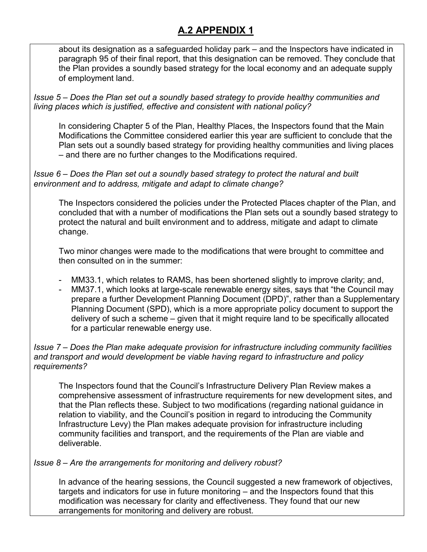about its designation as a safeguarded holiday park – and the Inspectors have indicated in paragraph 95 of their final report, that this designation can be removed. They conclude that the Plan provides a soundly based strategy for the local economy and an adequate supply of employment land.

*Issue 5 – Does the Plan set out a soundly based strategy to provide healthy communities and living places which is justified, effective and consistent with national policy?* 

In considering Chapter 5 of the Plan, Healthy Places, the Inspectors found that the Main Modifications the Committee considered earlier this year are sufficient to conclude that the Plan sets out a soundly based strategy for providing healthy communities and living places – and there are no further changes to the Modifications required.

#### *Issue 6 – Does the Plan set out a soundly based strategy to protect the natural and built environment and to address, mitigate and adapt to climate change?*

The Inspectors considered the policies under the Protected Places chapter of the Plan, and concluded that with a number of modifications the Plan sets out a soundly based strategy to protect the natural and built environment and to address, mitigate and adapt to climate change.

Two minor changes were made to the modifications that were brought to committee and then consulted on in the summer:

- MM33.1, which relates to RAMS, has been shortened slightly to improve clarity; and,
- MM37.1, which looks at large-scale renewable energy sites, says that "the Council may prepare a further Development Planning Document (DPD)", rather than a Supplementary Planning Document (SPD), which is a more appropriate policy document to support the delivery of such a scheme – given that it might require land to be specifically allocated for a particular renewable energy use.

#### *Issue 7 – Does the Plan make adequate provision for infrastructure including community facilities and transport and would development be viable having regard to infrastructure and policy requirements?*

The Inspectors found that the Council's Infrastructure Delivery Plan Review makes a comprehensive assessment of infrastructure requirements for new development sites, and that the Plan reflects these. Subject to two modifications (regarding national guidance in relation to viability, and the Council's position in regard to introducing the Community Infrastructure Levy) the Plan makes adequate provision for infrastructure including community facilities and transport, and the requirements of the Plan are viable and deliverable.

### *Issue 8 – Are the arrangements for monitoring and delivery robust?*

In advance of the hearing sessions, the Council suggested a new framework of objectives, targets and indicators for use in future monitoring – and the Inspectors found that this modification was necessary for clarity and effectiveness. They found that our new arrangements for monitoring and delivery are robust.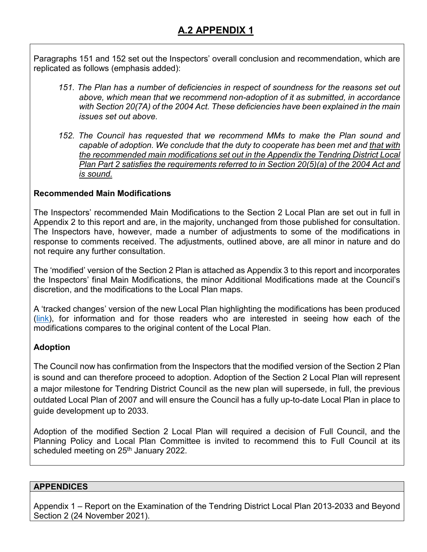Paragraphs 151 and 152 set out the Inspectors' overall conclusion and recommendation, which are replicated as follows (emphasis added):

- *151. The Plan has a number of deficiencies in respect of soundness for the reasons set out above, which mean that we recommend non-adoption of it as submitted, in accordance with Section 20(7A) of the 2004 Act. These deficiencies have been explained in the main issues set out above.*
- *152. The Council has requested that we recommend MMs to make the Plan sound and capable of adoption. We conclude that the duty to cooperate has been met and that with the recommended main modifications set out in the Appendix the Tendring District Local Plan Part 2 satisfies the requirements referred to in Section 20(5)(a) of the 2004 Act and is sound.*

## **Recommended Main Modifications**

The Inspectors' recommended Main Modifications to the Section 2 Local Plan are set out in full in Appendix 2 to this report and are, in the majority, unchanged from those published for consultation. The Inspectors have, however, made a number of adjustments to some of the modifications in response to comments received. The adjustments, outlined above, are all minor in nature and do not require any further consultation.

The 'modified' version of the Section 2 Plan is attached as Appendix 3 to this report and incorporates the Inspectors' final Main Modifications, the minor Additional Modifications made at the Council's discretion, and the modifications to the Local Plan maps.

A 'tracked changes' version of the new Local Plan highlighting the modifications has been produced [\(link\)](https://www.tendringdc.gov.uk/sites/default/files/documents/planning/Planning_Policy/S2Examination/Section%202%20Tracked%20Changes%20-%20Final.pdf), for information and for those readers who are interested in seeing how each of the modifications compares to the original content of the Local Plan.

### **Adoption**

The Council now has confirmation from the Inspectors that the modified version of the Section 2 Plan is sound and can therefore proceed to adoption. Adoption of the Section 2 Local Plan will represent a major milestone for Tendring District Council as the new plan will supersede, in full, the previous outdated Local Plan of 2007 and will ensure the Council has a fully up-to-date Local Plan in place to guide development up to 2033.

Adoption of the modified Section 2 Local Plan will required a decision of Full Council, and the Planning Policy and Local Plan Committee is invited to recommend this to Full Council at its scheduled meeting on 25<sup>th</sup> January 2022.

### **APPENDICES**

Appendix 1 – Report on the Examination of the Tendring District Local Plan 2013-2033 and Beyond Section 2 (24 November 2021).